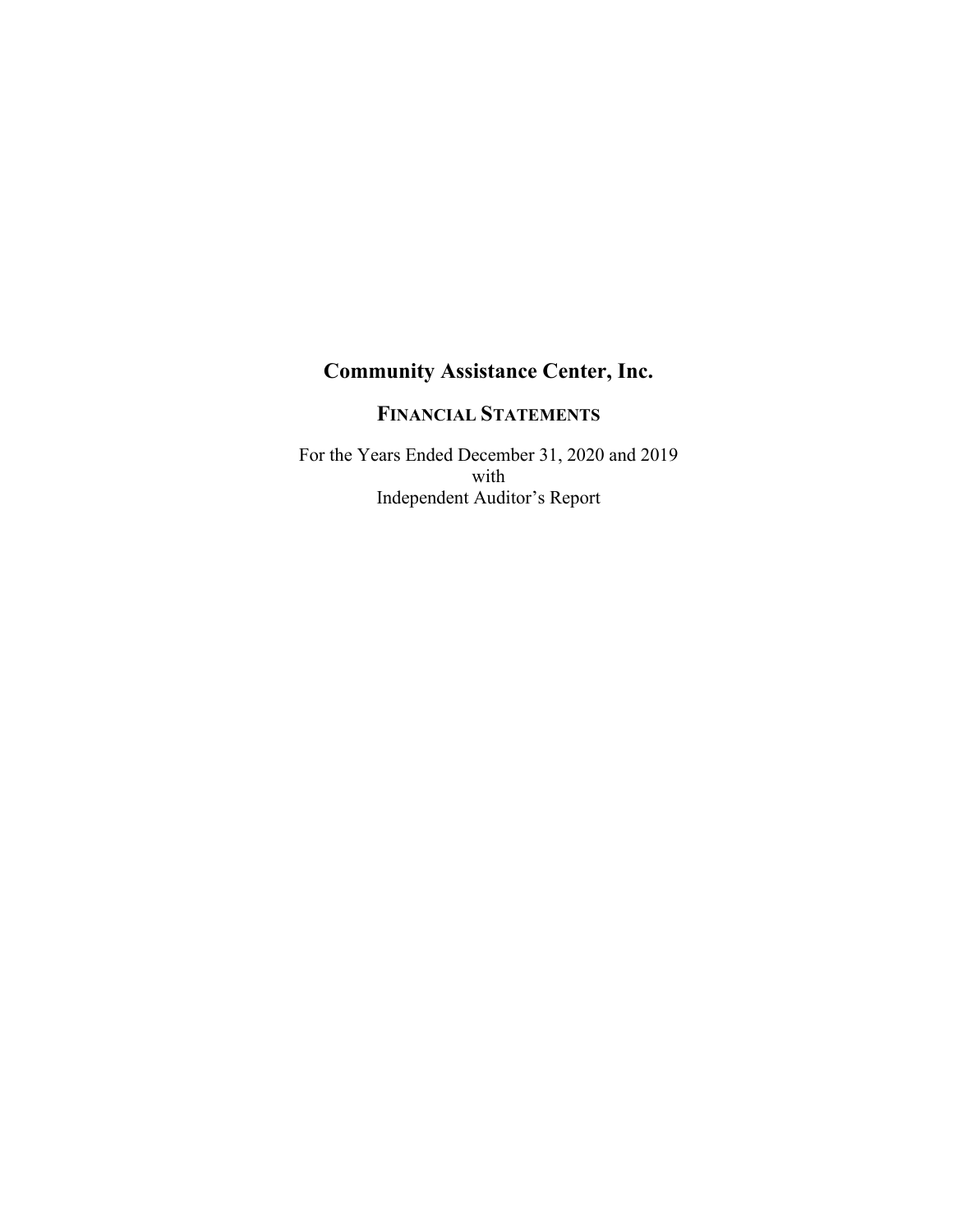## **FINANCIAL STATEMENTS**

For the Years Ended December 31, 2020 and 2019 with Independent Auditor's Report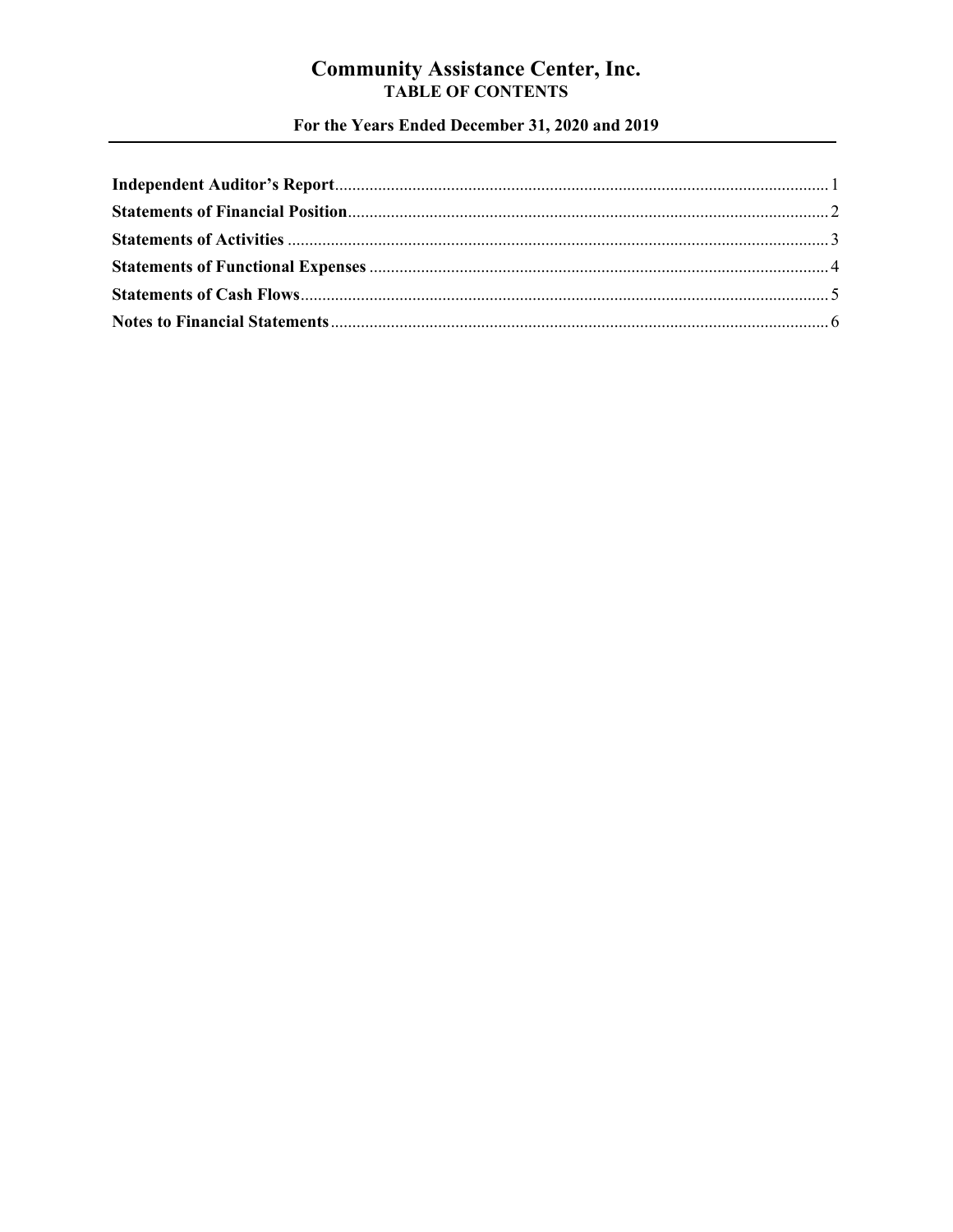# **Community Assistance Center, Inc.<br>TABLE OF CONTENTS**

For the Years Ended December 31, 2020 and 2019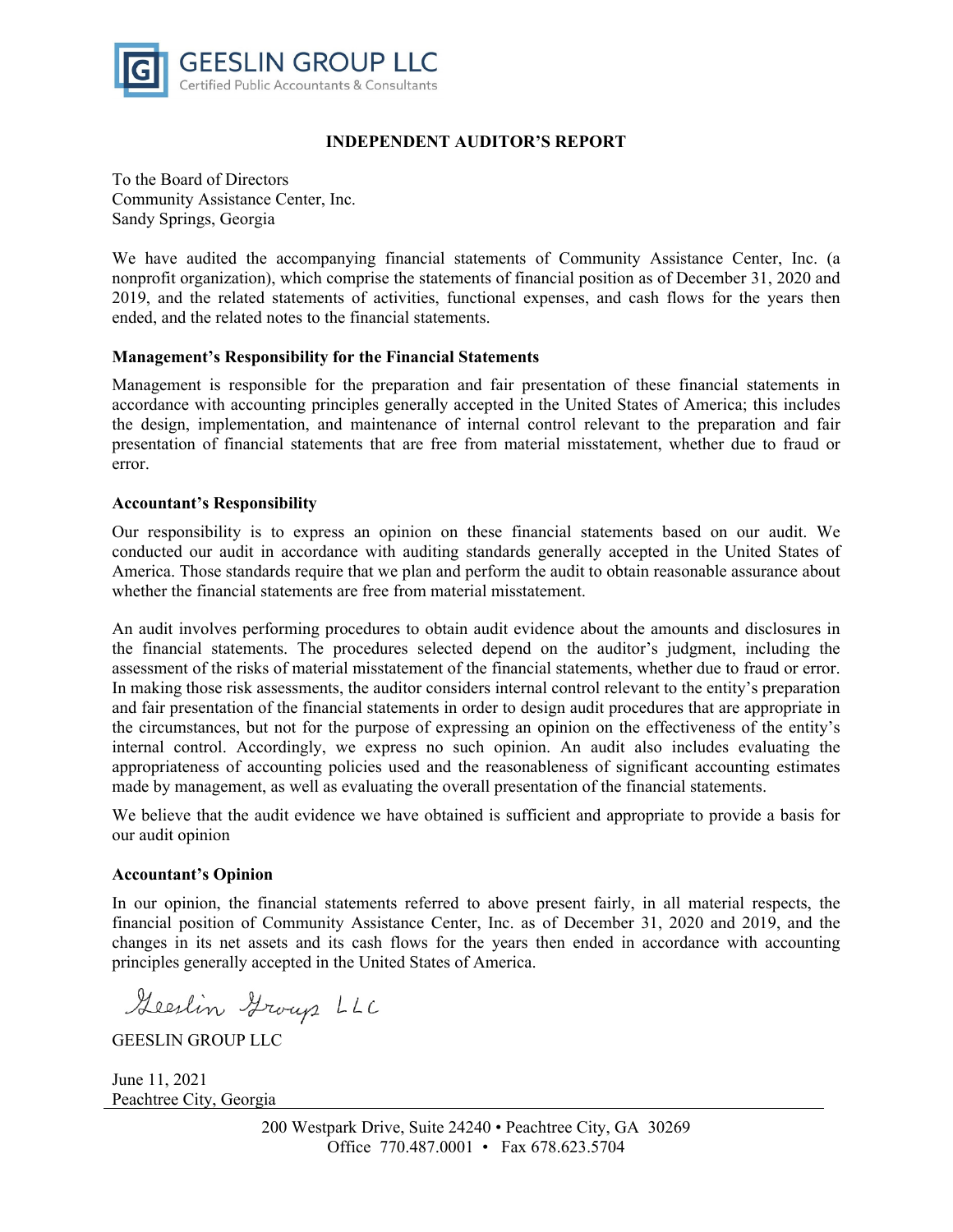

#### **INDEPENDENT AUDITOR'S REPORT**

To the Board of Directors Community Assistance Center, Inc. Sandy Springs, Georgia

We have audited the accompanying financial statements of Community Assistance Center, Inc. (a nonprofit organization), which comprise the statements of financial position as of December 31, 2020 and 2019, and the related statements of activities, functional expenses, and cash flows for the years then ended, and the related notes to the financial statements.

#### **Management's Responsibility for the Financial Statements**

Management is responsible for the preparation and fair presentation of these financial statements in accordance with accounting principles generally accepted in the United States of America; this includes the design, implementation, and maintenance of internal control relevant to the preparation and fair presentation of financial statements that are free from material misstatement, whether due to fraud or error.

#### **Accountant's Responsibility**

Our responsibility is to express an opinion on these financial statements based on our audit. We conducted our audit in accordance with auditing standards generally accepted in the United States of America. Those standards require that we plan and perform the audit to obtain reasonable assurance about whether the financial statements are free from material misstatement.

An audit involves performing procedures to obtain audit evidence about the amounts and disclosures in the financial statements. The procedures selected depend on the auditor's judgment, including the assessment of the risks of material misstatement of the financial statements, whether due to fraud or error. In making those risk assessments, the auditor considers internal control relevant to the entity's preparation and fair presentation of the financial statements in order to design audit procedures that are appropriate in the circumstances, but not for the purpose of expressing an opinion on the effectiveness of the entity's internal control. Accordingly, we express no such opinion. An audit also includes evaluating the appropriateness of accounting policies used and the reasonableness of significant accounting estimates made by management, as well as evaluating the overall presentation of the financial statements.

We believe that the audit evidence we have obtained is sufficient and appropriate to provide a basis for our audit opinion

#### **Accountant's Opinion**

In our opinion, the financial statements referred to above present fairly, in all material respects, the financial position of Community Assistance Center, Inc. as of December 31, 2020 and 2019, and the changes in its net assets and its cash flows for the years then ended in accordance with accounting principles generally accepted in the United States of America.

Geeslin Group LLC

GEESLIN GROUP LLC

June 11, 2021 Peachtree City, Georgia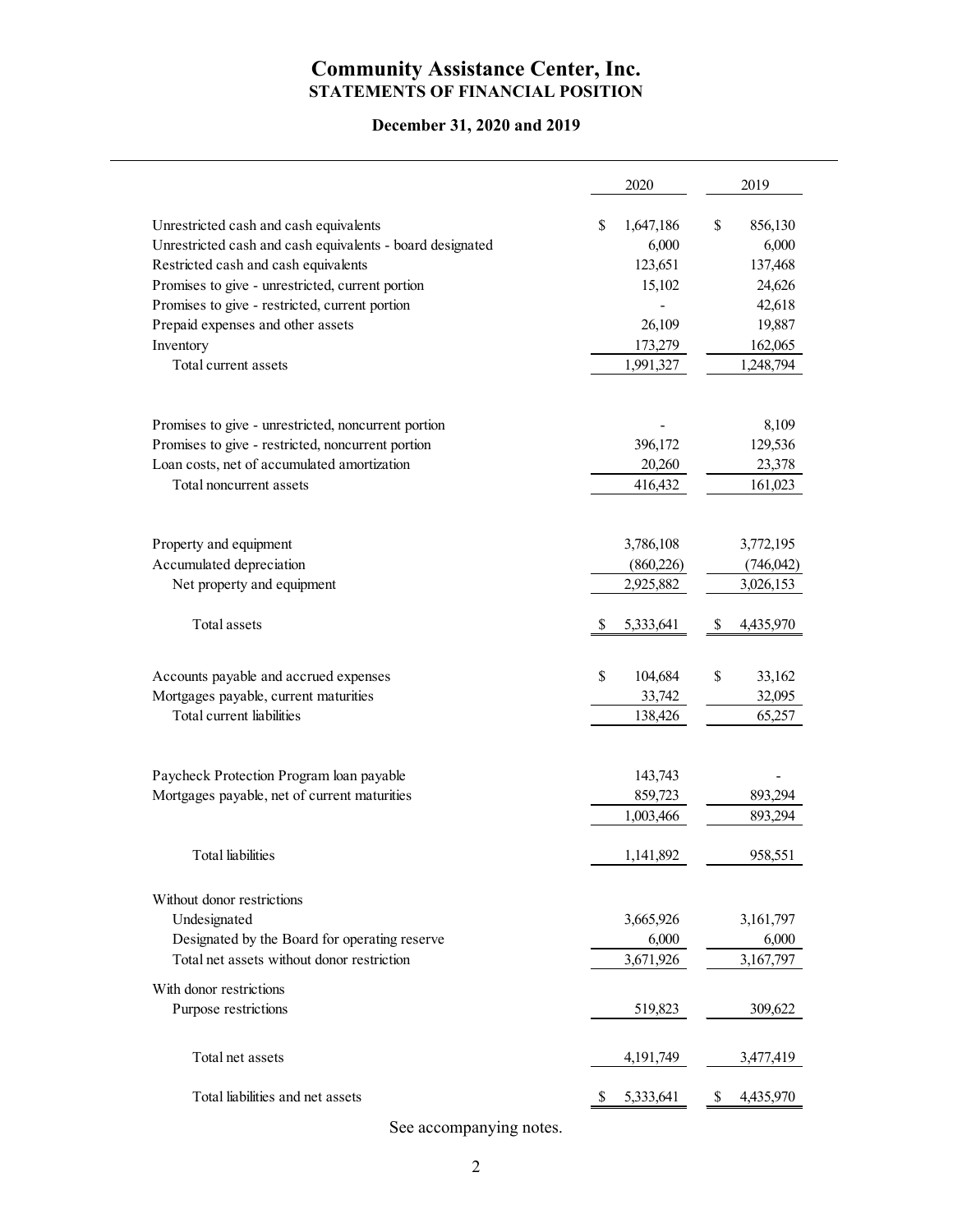#### **Community Assistance Center, Inc. STATEMENTS OF FINANCIAL POSITION**

#### **December 31, 2020 and 2019**

|                                                           | 2020               | 2019               |
|-----------------------------------------------------------|--------------------|--------------------|
| Unrestricted cash and cash equivalents                    | \$<br>1,647,186    | \$<br>856,130      |
| Unrestricted cash and cash equivalents - board designated | 6,000              | 6,000              |
| Restricted cash and cash equivalents                      | 123,651            | 137,468            |
| Promises to give - unrestricted, current portion          | 15,102             | 24,626             |
| Promises to give - restricted, current portion            |                    | 42,618             |
| Prepaid expenses and other assets                         | 26,109             | 19,887             |
| Inventory                                                 | 173,279            | 162,065            |
| Total current assets                                      | 1,991,327          | 1,248,794          |
| Promises to give - unrestricted, noncurrent portion       |                    | 8,109              |
| Promises to give - restricted, noncurrent portion         | 396,172            | 129,536            |
| Loan costs, net of accumulated amortization               | 20,260             | 23,378             |
| Total noncurrent assets                                   | 416,432            | 161,023            |
|                                                           |                    |                    |
| Property and equipment                                    | 3,786,108          | 3,772,195          |
| Accumulated depreciation                                  | (860, 226)         | (746, 042)         |
| Net property and equipment                                | 2,925,882          | 3,026,153          |
| Total assets                                              | 5,333,641<br>S.    | \$<br>4,435,970    |
| Accounts payable and accrued expenses                     | \$<br>104,684      | \$<br>33,162       |
| Mortgages payable, current maturities                     | 33,742             | 32,095             |
| Total current liabilities                                 | 138,426            | 65,257             |
|                                                           |                    |                    |
| Paycheck Protection Program loan payable                  | 143,743<br>859,723 |                    |
| Mortgages payable, net of current maturities              | 1,003,466          | 893,294<br>893,294 |
|                                                           |                    |                    |
| <b>Total liabilities</b>                                  | 1,141,892          | 958,551            |
| Without donor restrictions                                |                    |                    |
| Undesignated                                              | 3,665,926          | 3,161,797          |
| Designated by the Board for operating reserve             | 6,000              | 6,000              |
| Total net assets without donor restriction                | 3,671,926          | 3,167,797          |
| With donor restrictions                                   |                    |                    |
| Purpose restrictions                                      | 519,823            | 309,622            |
| Total net assets                                          | 4, 191, 749        | 3,477,419          |
| Total liabilities and net assets                          | 5,333,641<br>S     | 4,435,970<br>S     |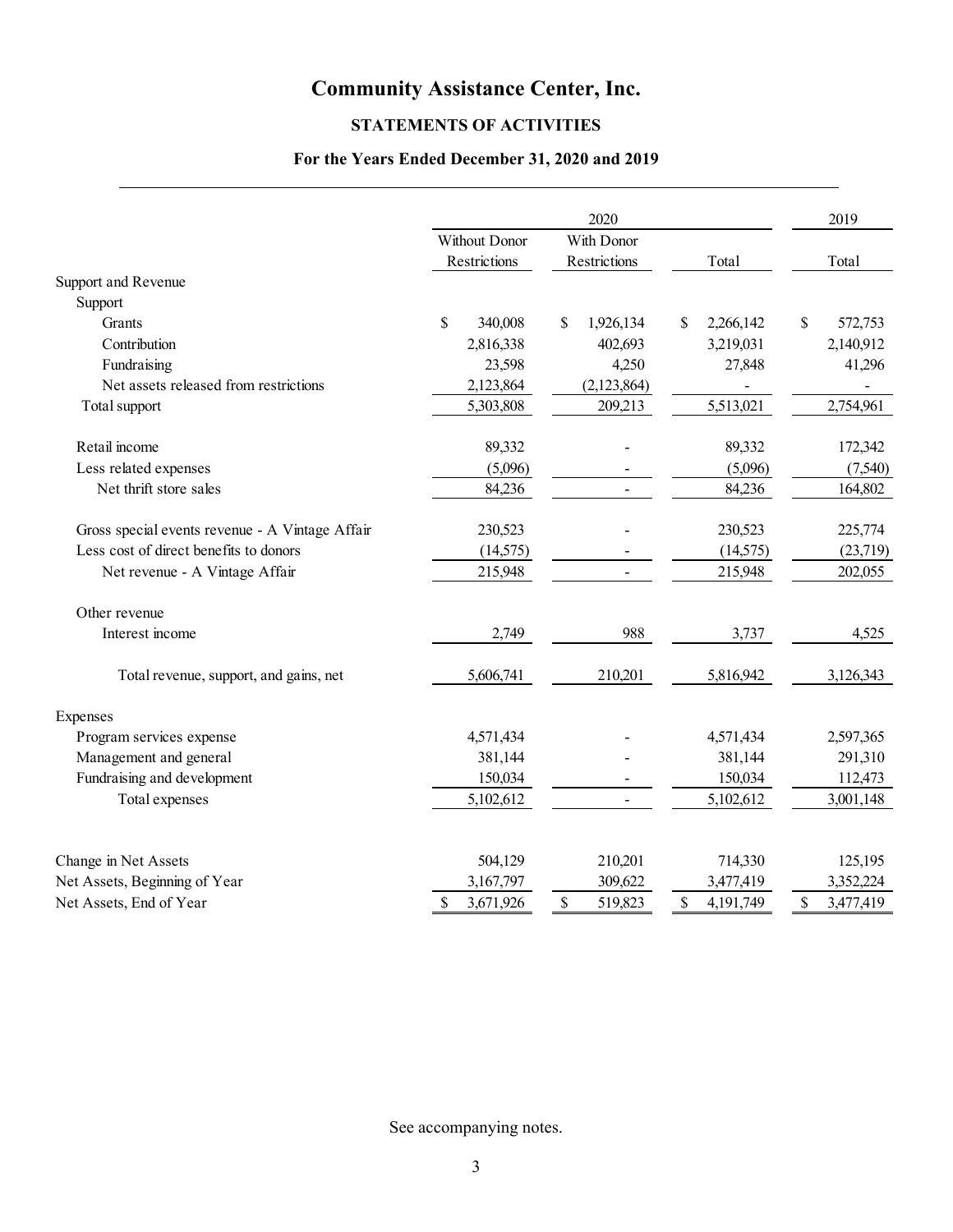## **STATEMENTS OF ACTIVITIES**

#### **For the Years Ended December 31, 2020 and 2019**

|                                                 |                             | 2020                     |                                 | 2019            |  |
|-------------------------------------------------|-----------------------------|--------------------------|---------------------------------|-----------------|--|
|                                                 | Without Donor<br>With Donor |                          |                                 |                 |  |
|                                                 | Restrictions                | Restrictions             | Total                           | Total           |  |
| Support and Revenue                             |                             |                          |                                 |                 |  |
| Support                                         |                             |                          |                                 |                 |  |
| Grants                                          | \$<br>340,008               | \$.<br>1,926,134         | \$<br>2,266,142                 | 572,753<br>\$   |  |
| Contribution                                    | 2,816,338                   | 402,693                  | 3,219,031                       | 2,140,912       |  |
| Fundraising                                     | 23,598                      | 4,250                    | 27,848                          | 41,296          |  |
| Net assets released from restrictions           | 2,123,864                   | (2,123,864)              |                                 |                 |  |
| Total support                                   | 5,303,808                   | 209,213                  | 5,513,021                       | 2,754,961       |  |
| Retail income                                   | 89,332                      |                          | 89,332                          | 172,342         |  |
| Less related expenses                           | (5,096)                     |                          | (5,096)                         | (7,540)         |  |
| Net thrift store sales                          | 84,236                      | $\sim$                   | 84,236                          | 164,802         |  |
| Gross special events revenue - A Vintage Affair | 230,523                     |                          | 230,523                         | 225,774         |  |
| Less cost of direct benefits to donors          | (14, 575)                   |                          | (14, 575)                       | (23,719)        |  |
| Net revenue - A Vintage Affair                  | 215,948                     |                          | 215,948                         | 202,055         |  |
| Other revenue                                   |                             |                          |                                 |                 |  |
| Interest income                                 | 2,749                       | 988                      | 3,737                           | 4,525           |  |
| Total revenue, support, and gains, net          | 5,606,741                   | 210,201                  | 5,816,942                       | 3,126,343       |  |
| Expenses                                        |                             |                          |                                 |                 |  |
| Program services expense                        | 4,571,434                   |                          | 4,571,434                       | 2,597,365       |  |
| Management and general                          | 381,144                     |                          | 381,144                         | 291,310         |  |
| Fundraising and development                     | 150,034                     |                          | 150,034                         | 112,473         |  |
| Total expenses                                  | 5,102,612                   |                          | 5,102,612                       | 3,001,148       |  |
| Change in Net Assets                            | 504,129                     | 210,201                  | 714,330                         | 125,195         |  |
| Net Assets, Beginning of Year                   | 3,167,797                   | 309,622                  | 3,477,419                       | 3,352,224       |  |
| Net Assets, End of Year                         | 3,671,926<br>\$             | $\mathcal{S}$<br>519,823 | $\mathbf{\hat{S}}$<br>4,191,749 | \$<br>3,477,419 |  |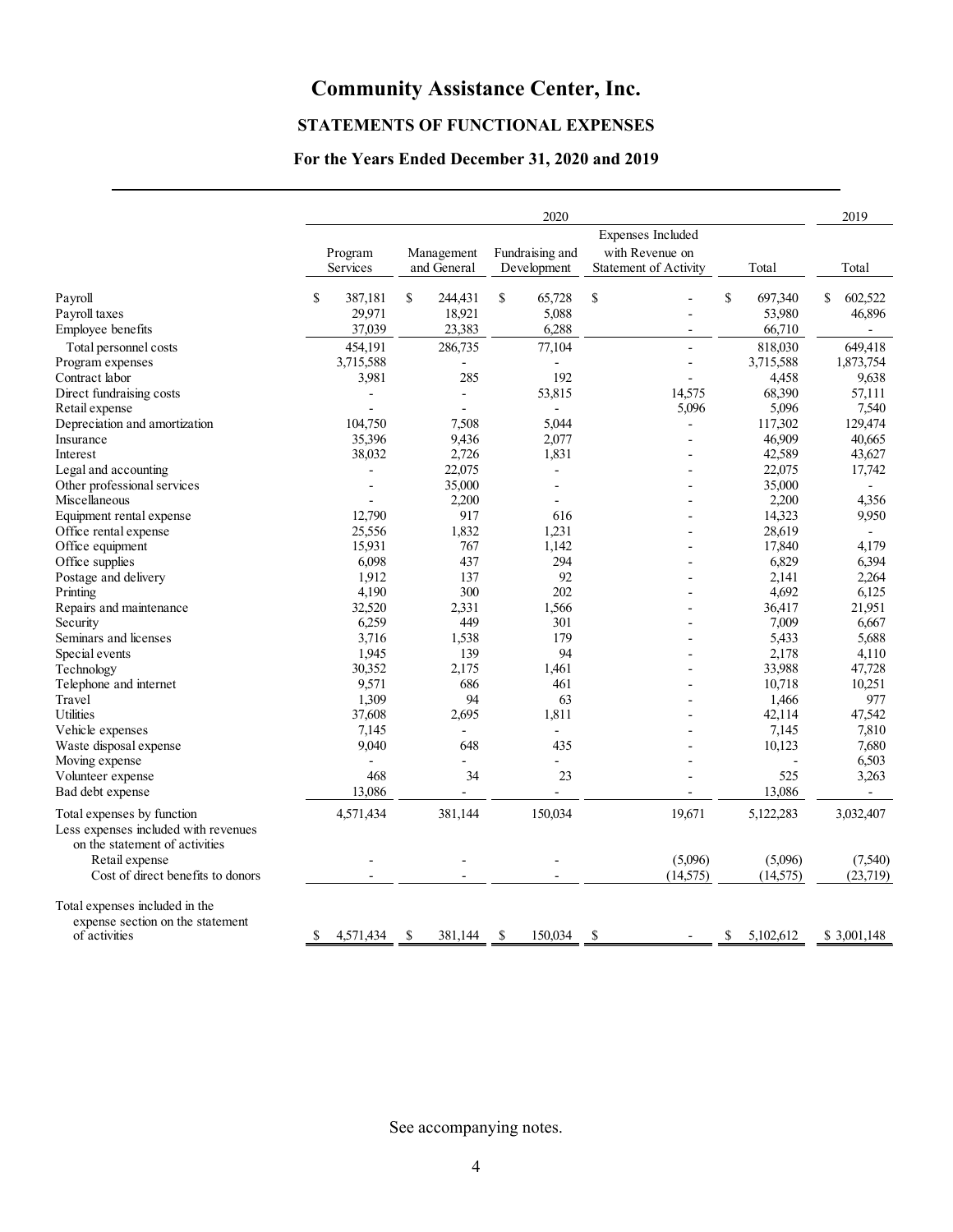## **STATEMENTS OF FUNCTIONAL EXPENSES**

#### **For the Years Ended December 31, 2020 and 2019**

|                                                                                                      |                     |                           | 2020                           |                                          |                 | 2019                     |
|------------------------------------------------------------------------------------------------------|---------------------|---------------------------|--------------------------------|------------------------------------------|-----------------|--------------------------|
|                                                                                                      |                     |                           |                                | Expenses Included                        |                 |                          |
|                                                                                                      | Program<br>Services | Management<br>and General | Fundraising and<br>Development | with Revenue on<br>Statement of Activity | Total           | Total                    |
| Payroll                                                                                              | \$<br>387,181       | \$<br>244,431             | \$<br>65,728                   | \$                                       | \$<br>697,340   | \$<br>602,522            |
| Payroll taxes                                                                                        | 29,971              | 18,921                    | 5,088                          | $\overline{\phantom{a}}$                 | 53,980          | 46,896                   |
| Employee benefits                                                                                    | 37,039              | 23,383                    | 6,288                          |                                          | 66,710          | $\overline{\phantom{a}}$ |
| Total personnel costs                                                                                | 454.191             | 286,735                   | 77,104                         |                                          | 818,030         | 649.418                  |
| Program expenses                                                                                     | 3,715,588           |                           |                                |                                          | 3,715,588       | 1,873,754                |
| Contract labor                                                                                       | 3,981               | 285                       | 192                            |                                          | 4,458           | 9,638                    |
| Direct fundraising costs                                                                             | $\overline{a}$      | $\overline{a}$            | 53,815                         | 14,575                                   | 68,390          | 57,111                   |
| Retail expense                                                                                       |                     |                           | $\overline{\phantom{a}}$       | 5,096                                    | 5,096           | 7,540                    |
| Depreciation and amortization                                                                        | 104,750             | 7,508                     | 5,044                          | $\overline{a}$                           | 117,302         | 129,474                  |
| Insurance                                                                                            | 35,396              | 9,436                     | 2,077                          |                                          | 46,909          | 40.665                   |
| Interest                                                                                             | 38,032              | 2,726                     | 1,831                          |                                          | 42,589          | 43,627                   |
| Legal and accounting                                                                                 |                     | 22,075                    |                                |                                          | 22,075          | 17,742                   |
| Other professional services                                                                          |                     | 35,000                    | $\overline{a}$                 |                                          | 35,000          | $\overline{a}$           |
| Miscellaneous                                                                                        |                     | 2,200                     | $\overline{a}$                 |                                          | 2,200           | 4,356                    |
| Equipment rental expense                                                                             | 12,790              | 917                       | 616                            |                                          | 14,323          | 9,950                    |
| Office rental expense                                                                                | 25,556              | 1,832                     | 1,231                          |                                          | 28,619          |                          |
| Office equipment                                                                                     | 15,931              | 767                       | 1,142                          |                                          | 17,840          | 4,179                    |
| Office supplies                                                                                      | 6,098               | 437                       | 294                            |                                          | 6,829           | 6,394                    |
| Postage and delivery                                                                                 | 1.912               | 137                       | 92                             |                                          | 2,141           | 2,264                    |
| Printing                                                                                             | 4,190               | 300                       | 202                            |                                          | 4,692           | 6,125                    |
| Repairs and maintenance                                                                              | 32,520              | 2,331                     | 1,566                          |                                          | 36,417          | 21,951                   |
| Security                                                                                             | 6,259               | 449                       | 301                            |                                          | 7,009           | 6,667                    |
| Seminars and licenses                                                                                | 3,716               | 1,538                     | 179                            |                                          | 5,433           | 5,688                    |
| Special events                                                                                       | 1,945               | 139                       | 94                             |                                          | 2,178           | 4,110                    |
| Technology                                                                                           | 30,352              | 2,175                     | 1,461                          |                                          | 33,988          | 47,728                   |
| Telephone and internet                                                                               | 9,571               | 686                       | 461                            |                                          | 10,718          | 10,251                   |
| Travel                                                                                               | 1,309               | 94                        | 63                             |                                          | 1,466           | 977                      |
| <b>Utilities</b>                                                                                     | 37,608              | 2,695                     | 1,811                          |                                          | 42,114          | 47,542                   |
| Vehicle expenses                                                                                     | 7,145               |                           |                                |                                          | 7,145           | 7,810                    |
| Waste disposal expense                                                                               | 9,040               | 648                       | 435                            |                                          | 10,123          | 7,680                    |
| Moving expense                                                                                       |                     |                           |                                |                                          |                 | 6,503                    |
| Volunteer expense                                                                                    | 468                 | 34                        | 23                             |                                          | 525             | 3,263                    |
| Bad debt expense                                                                                     | 13,086              | $\overline{a}$            | $\overline{a}$                 |                                          | 13,086          | $\overline{a}$           |
| Total expenses by function<br>Less expenses included with revenues<br>on the statement of activities | 4,571,434           | 381,144                   | 150,034                        | 19,671                                   | 5,122,283       | 3,032,407                |
| Retail expense                                                                                       |                     |                           |                                | (5,096)                                  | (5,096)         | (7,540)                  |
| Cost of direct benefits to donors                                                                    |                     |                           |                                | (14, 575)                                | (14, 575)       | (23,719)                 |
| Total expenses included in the<br>expense section on the statement<br>of activities                  | 4,571,434<br>S.     | 381,144<br>\$             | 150,034<br>\$                  | \$                                       | 5,102,612<br>\$ | \$ 3,001,148             |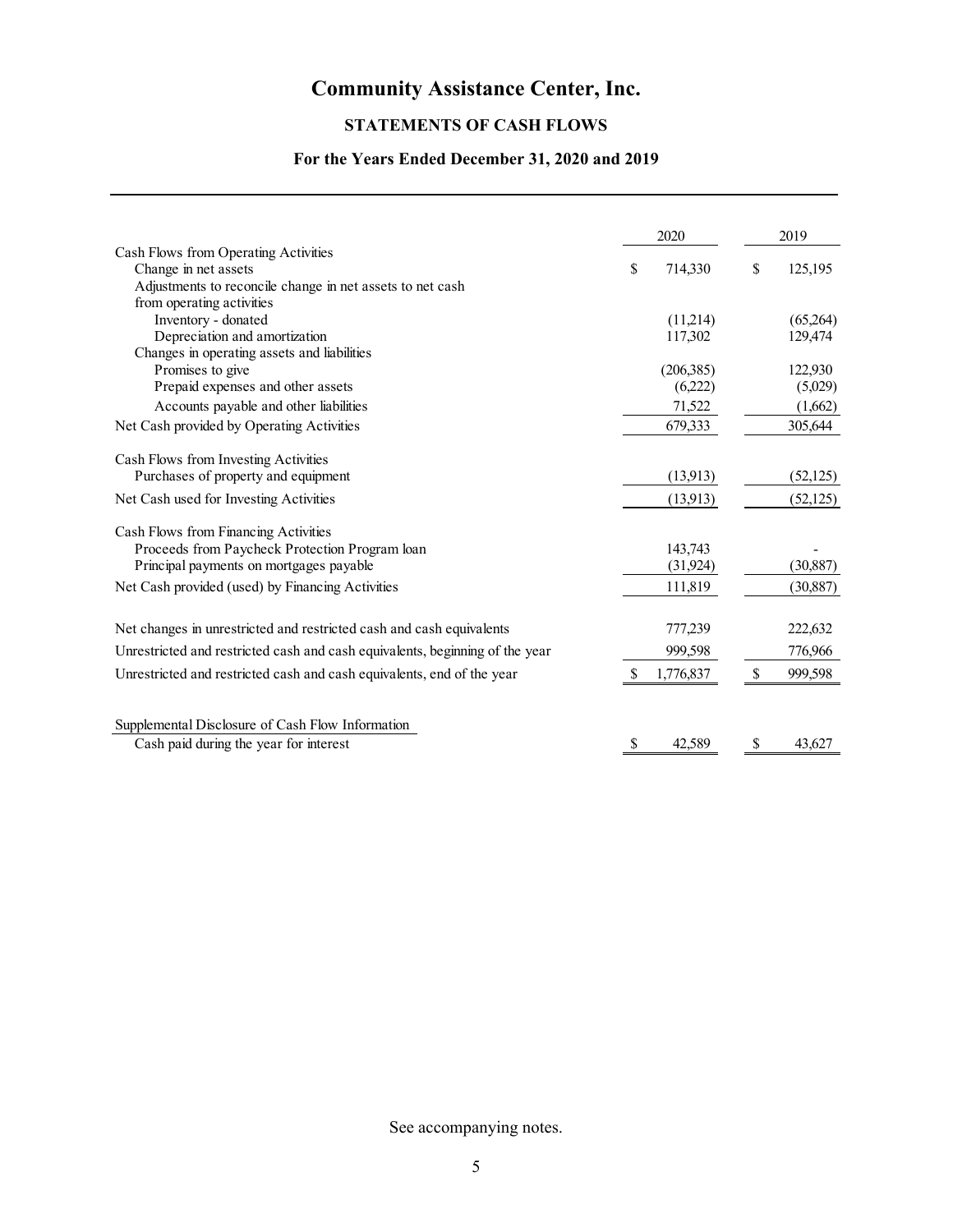## **STATEMENTS OF CASH FLOWS**

#### **For the Years Ended December 31, 2020 and 2019**

|                                                                              |    | 2020       | 2019          |
|------------------------------------------------------------------------------|----|------------|---------------|
| Cash Flows from Operating Activities                                         |    |            |               |
| Change in net assets                                                         | \$ | 714,330    | \$<br>125,195 |
| Adjustments to reconcile change in net assets to net cash                    |    |            |               |
| from operating activities                                                    |    |            |               |
| Inventory - donated                                                          |    | (11,214)   | (65,264)      |
| Depreciation and amortization                                                |    | 117,302    | 129,474       |
| Changes in operating assets and liabilities                                  |    |            |               |
| Promises to give                                                             |    | (206, 385) | 122,930       |
| Prepaid expenses and other assets                                            |    | (6,222)    | (5,029)       |
| Accounts payable and other liabilities                                       |    | 71,522     | (1,662)       |
| Net Cash provided by Operating Activities                                    |    | 679,333    | 305,644       |
| Cash Flows from Investing Activities                                         |    |            |               |
| Purchases of property and equipment                                          |    | (13,913)   | (52, 125)     |
| Net Cash used for Investing Activities                                       |    | (13,913)   | (52, 125)     |
| Cash Flows from Financing Activities                                         |    |            |               |
| Proceeds from Paycheck Protection Program loan                               |    | 143,743    |               |
| Principal payments on mortgages payable                                      |    | (31, 924)  | (30, 887)     |
| Net Cash provided (used) by Financing Activities                             |    | 111,819    | (30, 887)     |
| Net changes in unrestricted and restricted cash and cash equivalents         |    | 777,239    | 222,632       |
|                                                                              |    |            |               |
| Unrestricted and restricted cash and cash equivalents, beginning of the year |    | 999,598    | 776,966       |
| Unrestricted and restricted cash and cash equivalents, end of the year       | \$ | 1,776,837  | \$<br>999,598 |
|                                                                              |    |            |               |
| Supplemental Disclosure of Cash Flow Information                             |    |            |               |
| Cash paid during the year for interest                                       | S  | 42,589     | \$<br>43,627  |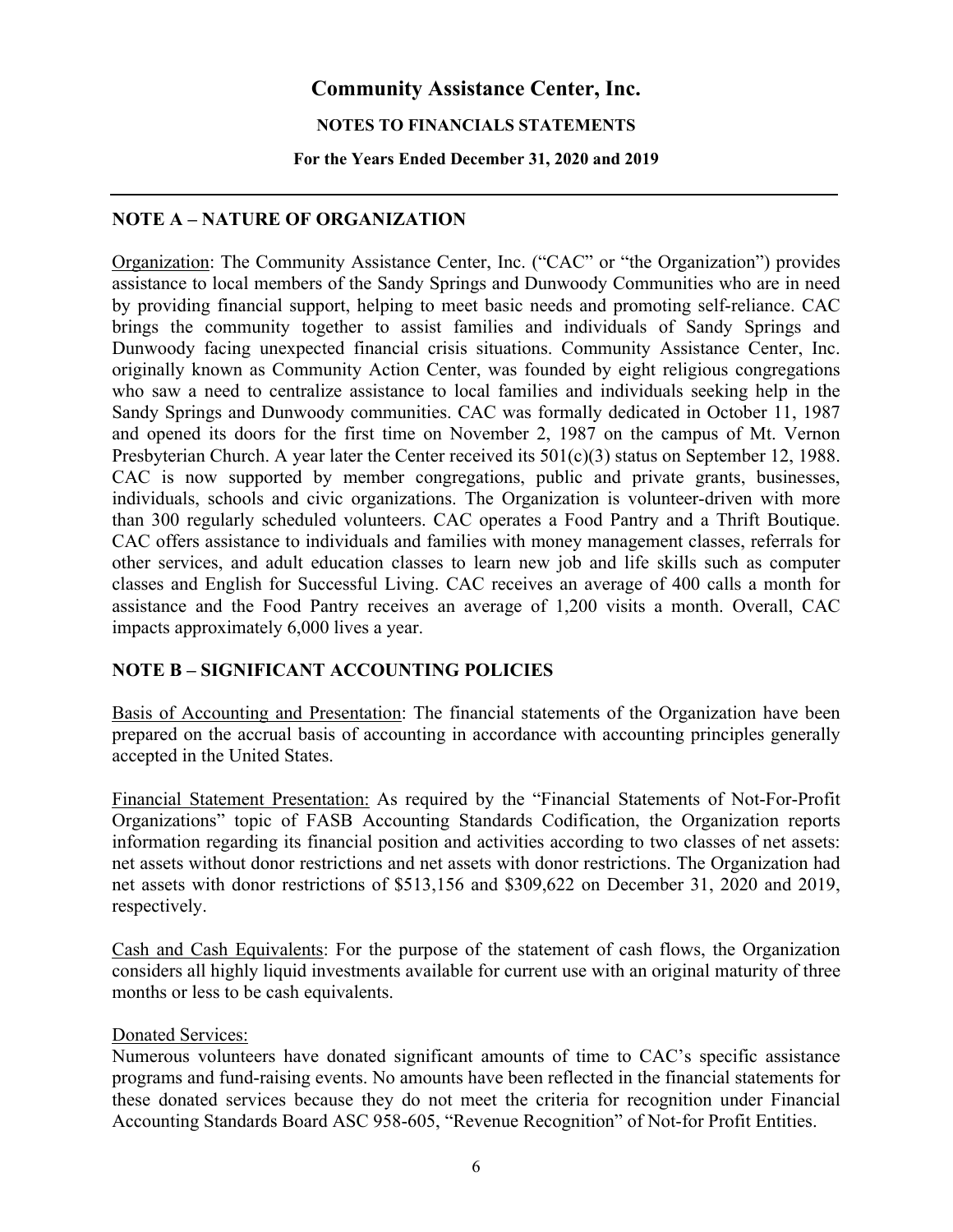#### **NOTES TO FINANCIALS STATEMENTS**

#### **For the Years Ended December 31, 2020 and 2019**

#### **NOTE A – NATURE OF ORGANIZATION**

Organization: The Community Assistance Center, Inc. ("CAC" or "the Organization") provides assistance to local members of the Sandy Springs and Dunwoody Communities who are in need by providing financial support, helping to meet basic needs and promoting self-reliance. CAC brings the community together to assist families and individuals of Sandy Springs and Dunwoody facing unexpected financial crisis situations. Community Assistance Center, Inc. originally known as Community Action Center, was founded by eight religious congregations who saw a need to centralize assistance to local families and individuals seeking help in the Sandy Springs and Dunwoody communities. CAC was formally dedicated in October 11, 1987 and opened its doors for the first time on November 2, 1987 on the campus of Mt. Vernon Presbyterian Church. A year later the Center received its  $501(c)(3)$  status on September 12, 1988. CAC is now supported by member congregations, public and private grants, businesses, individuals, schools and civic organizations. The Organization is volunteer-driven with more than 300 regularly scheduled volunteers. CAC operates a Food Pantry and a Thrift Boutique. CAC offers assistance to individuals and families with money management classes, referrals for other services, and adult education classes to learn new job and life skills such as computer classes and English for Successful Living. CAC receives an average of 400 calls a month for assistance and the Food Pantry receives an average of 1,200 visits a month. Overall, CAC impacts approximately 6,000 lives a year.

#### **NOTE B – SIGNIFICANT ACCOUNTING POLICIES**

Basis of Accounting and Presentation: The financial statements of the Organization have been prepared on the accrual basis of accounting in accordance with accounting principles generally accepted in the United States.

Financial Statement Presentation: As required by the "Financial Statements of Not-For-Profit Organizations" topic of FASB Accounting Standards Codification, the Organization reports information regarding its financial position and activities according to two classes of net assets: net assets without donor restrictions and net assets with donor restrictions. The Organization had net assets with donor restrictions of \$513,156 and \$309,622 on December 31, 2020 and 2019, respectively.

Cash and Cash Equivalents: For the purpose of the statement of cash flows, the Organization considers all highly liquid investments available for current use with an original maturity of three months or less to be cash equivalents.

#### Donated Services:

Numerous volunteers have donated significant amounts of time to CAC's specific assistance programs and fund-raising events. No amounts have been reflected in the financial statements for these donated services because they do not meet the criteria for recognition under Financial Accounting Standards Board ASC 958-605, "Revenue Recognition" of Not-for Profit Entities.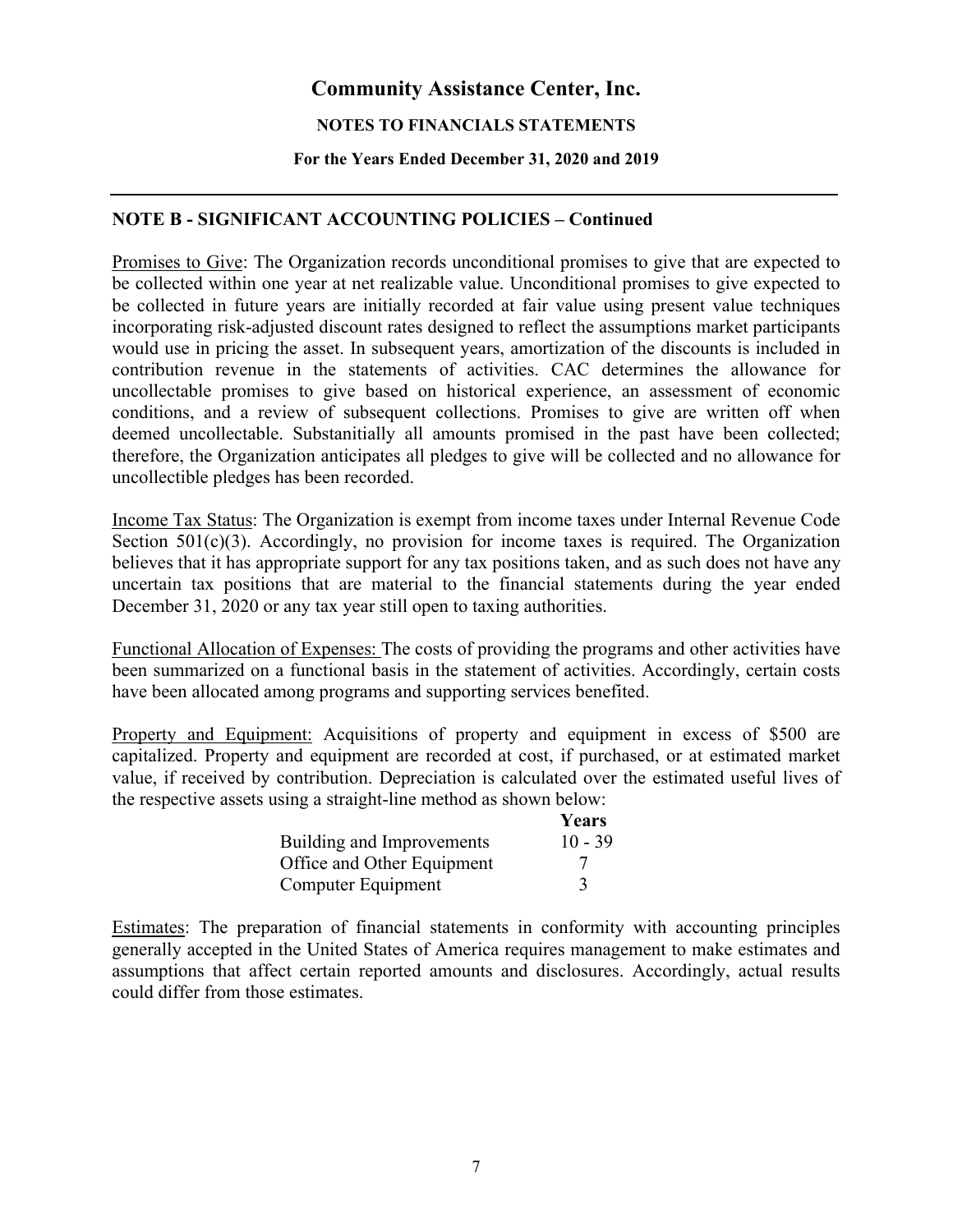#### **NOTES TO FINANCIALS STATEMENTS**

#### **For the Years Ended December 31, 2020 and 2019**

#### **NOTE B - SIGNIFICANT ACCOUNTING POLICIES – Continued**

Promises to Give: The Organization records unconditional promises to give that are expected to be collected within one year at net realizable value. Unconditional promises to give expected to be collected in future years are initially recorded at fair value using present value techniques incorporating risk-adjusted discount rates designed to reflect the assumptions market participants would use in pricing the asset. In subsequent years, amortization of the discounts is included in contribution revenue in the statements of activities. CAC determines the allowance for uncollectable promises to give based on historical experience, an assessment of economic conditions, and a review of subsequent collections. Promises to give are written off when deemed uncollectable. Substanitially all amounts promised in the past have been collected; therefore, the Organization anticipates all pledges to give will be collected and no allowance for uncollectible pledges has been recorded.

Income Tax Status: The Organization is exempt from income taxes under Internal Revenue Code Section  $501(c)(3)$ . Accordingly, no provision for income taxes is required. The Organization believes that it has appropriate support for any tax positions taken, and as such does not have any uncertain tax positions that are material to the financial statements during the year ended December 31, 2020 or any tax year still open to taxing authorities.

Functional Allocation of Expenses: The costs of providing the programs and other activities have been summarized on a functional basis in the statement of activities. Accordingly, certain costs have been allocated among programs and supporting services benefited.

Property and Equipment: Acquisitions of property and equipment in excess of \$500 are capitalized. Property and equipment are recorded at cost, if purchased, or at estimated market value, if received by contribution. Depreciation is calculated over the estimated useful lives of the respective assets using a straight-line method as shown below:

|                            | Years         |
|----------------------------|---------------|
| Building and Improvements  | $10 - 39$     |
| Office and Other Equipment |               |
| Computer Equipment         | $\mathcal{R}$ |

Estimates: The preparation of financial statements in conformity with accounting principles generally accepted in the United States of America requires management to make estimates and assumptions that affect certain reported amounts and disclosures. Accordingly, actual results could differ from those estimates.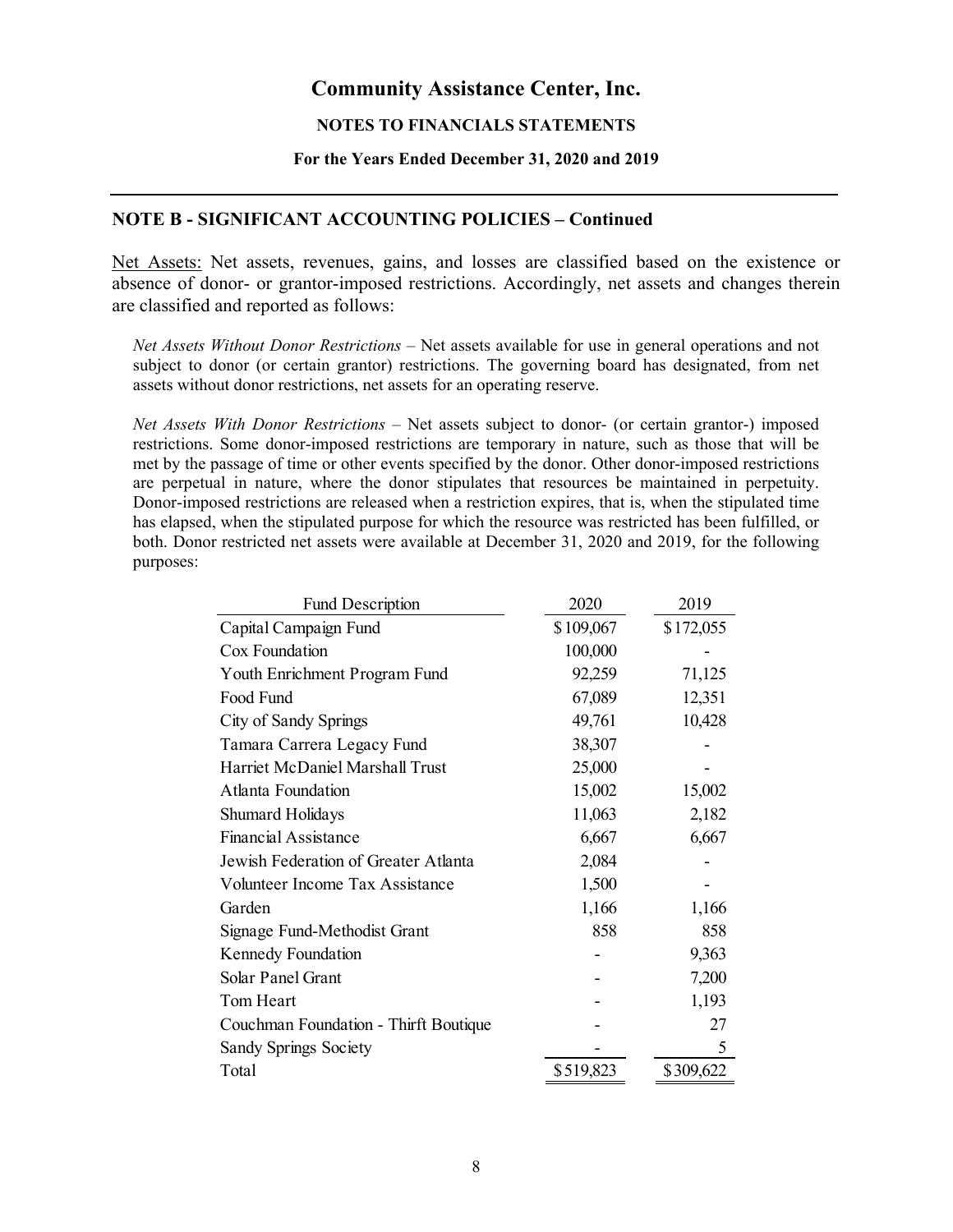#### **NOTES TO FINANCIALS STATEMENTS**

#### **For the Years Ended December 31, 2020 and 2019**

#### **NOTE B - SIGNIFICANT ACCOUNTING POLICIES – Continued**

Net Assets: Net assets, revenues, gains, and losses are classified based on the existence or absence of donor- or grantor-imposed restrictions. Accordingly, net assets and changes therein are classified and reported as follows:

*Net Assets Without Donor Restrictions* – Net assets available for use in general operations and not subject to donor (or certain grantor) restrictions. The governing board has designated, from net assets without donor restrictions, net assets for an operating reserve.

*Net Assets With Donor Restrictions* – Net assets subject to donor- (or certain grantor-) imposed restrictions. Some donor-imposed restrictions are temporary in nature, such as those that will be met by the passage of time or other events specified by the donor. Other donor-imposed restrictions are perpetual in nature, where the donor stipulates that resources be maintained in perpetuity. Donor-imposed restrictions are released when a restriction expires, that is, when the stipulated time has elapsed, when the stipulated purpose for which the resource was restricted has been fulfilled, or both. Donor restricted net assets were available at December 31, 2020 and 2019, for the following purposes:

| <b>Fund Description</b>               | 2020      | 2019      |
|---------------------------------------|-----------|-----------|
| Capital Campaign Fund                 | \$109,067 | \$172,055 |
| Cox Foundation                        | 100,000   |           |
| Youth Enrichment Program Fund         | 92,259    | 71,125    |
| Food Fund                             | 67,089    | 12,351    |
| City of Sandy Springs                 | 49,761    | 10,428    |
| Tamara Carrera Legacy Fund            | 38,307    |           |
| Harriet McDaniel Marshall Trust       | 25,000    |           |
| Atlanta Foundation                    | 15,002    | 15,002    |
| Shumard Holidays                      | 11,063    | 2,182     |
| <b>Financial Assistance</b>           | 6,667     | 6,667     |
| Jewish Federation of Greater Atlanta  | 2,084     |           |
| Volunteer Income Tax Assistance       | 1,500     |           |
| Garden                                | 1,166     | 1,166     |
| Signage Fund-Methodist Grant          | 858       | 858       |
| Kennedy Foundation                    |           | 9,363     |
| Solar Panel Grant                     |           | 7,200     |
| Tom Heart                             |           | 1,193     |
| Couchman Foundation - Thirft Boutique |           | 27        |
| Sandy Springs Society                 |           | 5         |
| Total                                 | \$519,823 | \$309,622 |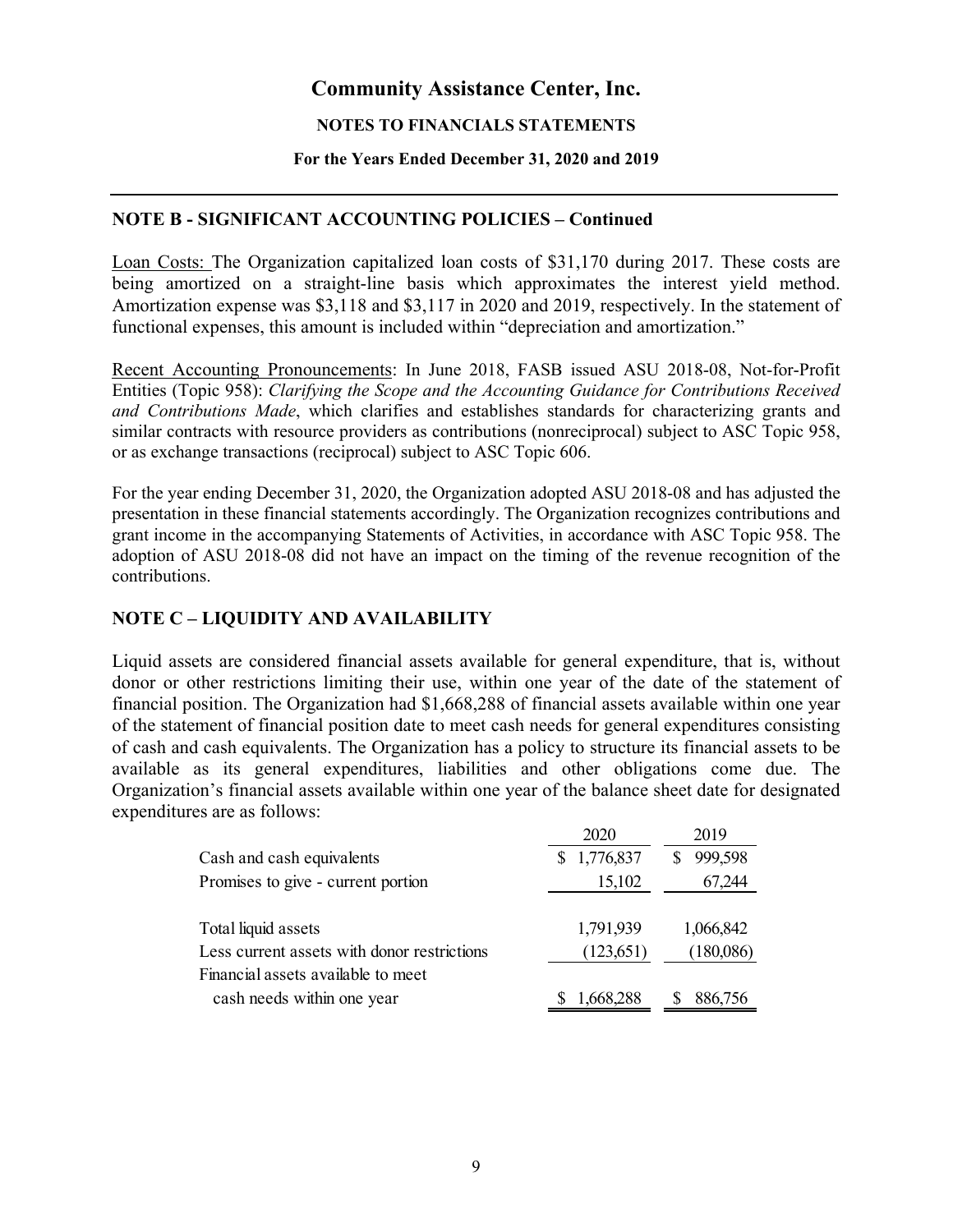#### **NOTES TO FINANCIALS STATEMENTS**

#### **For the Years Ended December 31, 2020 and 2019**

#### **NOTE B - SIGNIFICANT ACCOUNTING POLICIES – Continued**

Loan Costs: The Organization capitalized loan costs of \$31,170 during 2017. These costs are being amortized on a straight-line basis which approximates the interest yield method. Amortization expense was \$3,118 and \$3,117 in 2020 and 2019, respectively. In the statement of functional expenses, this amount is included within "depreciation and amortization."

Recent Accounting Pronouncements: In June 2018, FASB issued ASU 2018-08, Not-for-Profit Entities (Topic 958): *Clarifying the Scope and the Accounting Guidance for Contributions Received and Contributions Made*, which clarifies and establishes standards for characterizing grants and similar contracts with resource providers as contributions (nonreciprocal) subject to ASC Topic 958, or as exchange transactions (reciprocal) subject to ASC Topic 606.

For the year ending December 31, 2020, the Organization adopted ASU 2018-08 and has adjusted the presentation in these financial statements accordingly. The Organization recognizes contributions and grant income in the accompanying Statements of Activities, in accordance with ASC Topic 958. The adoption of ASU 2018-08 did not have an impact on the timing of the revenue recognition of the contributions.

#### **NOTE C – LIQUIDITY AND AVAILABILITY**

Liquid assets are considered financial assets available for general expenditure, that is, without donor or other restrictions limiting their use, within one year of the date of the statement of financial position. The Organization had \$1,668,288 of financial assets available within one year of the statement of financial position date to meet cash needs for general expenditures consisting of cash and cash equivalents. The Organization has a policy to structure its financial assets to be available as its general expenditures, liabilities and other obligations come due. The Organization's financial assets available within one year of the balance sheet date for designated expenditures are as follows:

|                                                                                                          | 2020                    | 2019                   |
|----------------------------------------------------------------------------------------------------------|-------------------------|------------------------|
| Cash and cash equivalents                                                                                | 1,776,837               | 999,598                |
| Promises to give - current portion                                                                       | 15,102                  | 67,244                 |
| Total liquid assets<br>Less current assets with donor restrictions<br>Financial assets available to meet | 1,791,939<br>(123, 651) | 1,066,842<br>(180,086) |
| cash needs within one year                                                                               | 1,668,288               | 886,756                |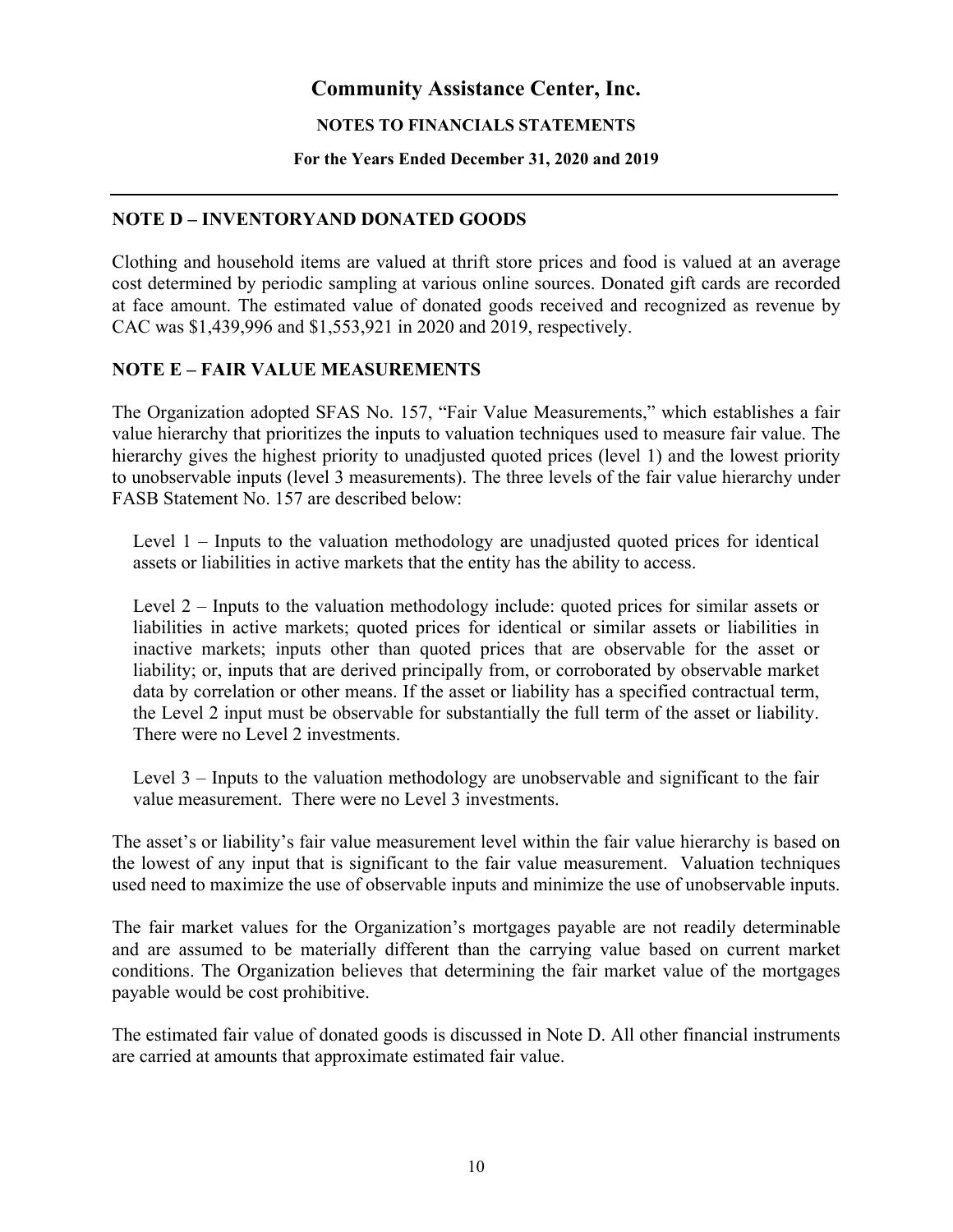#### **NOTES TO FINANCIALS STATEMENTS**

#### **For the Years Ended December 31, 2020 and 2019**

#### **NOTE D – INVENTORYAND DONATED GOODS**

Clothing and household items are valued at thrift store prices and food is valued at an average cost determined by periodic sampling at various online sources. Donated gift cards are recorded at face amount. The estimated value of donated goods received and recognized as revenue by CAC was \$1,439,996 and \$1,553,921 in 2020 and 2019, respectively.

#### **NOTE E – FAIR VALUE MEASUREMENTS**

The Organization adopted SFAS No. 157, "Fair Value Measurements," which establishes a fair value hierarchy that prioritizes the inputs to valuation techniques used to measure fair value. The hierarchy gives the highest priority to unadjusted quoted prices (level 1) and the lowest priority to unobservable inputs (level 3 measurements). The three levels of the fair value hierarchy under FASB Statement No. 157 are described below:

Level 1 – Inputs to the valuation methodology are unadjusted quoted prices for identical assets or liabilities in active markets that the entity has the ability to access.

Level 2 – Inputs to the valuation methodology include: quoted prices for similar assets or liabilities in active markets; quoted prices for identical or similar assets or liabilities in inactive markets; inputs other than quoted prices that are observable for the asset or liability; or, inputs that are derived principally from, or corroborated by observable market data by correlation or other means. If the asset or liability has a specified contractual term, the Level 2 input must be observable for substantially the full term of the asset or liability. There were no Level 2 investments.

Level 3 – Inputs to the valuation methodology are unobservable and significant to the fair value measurement. There were no Level 3 investments.

The asset's or liability's fair value measurement level within the fair value hierarchy is based on the lowest of any input that is significant to the fair value measurement. Valuation techniques used need to maximize the use of observable inputs and minimize the use of unobservable inputs.

The fair market values for the Organization's mortgages payable are not readily determinable and are assumed to be materially different than the carrying value based on current market conditions. The Organization believes that determining the fair market value of the mortgages payable would be cost prohibitive.

The estimated fair value of donated goods is discussed in Note D. All other financial instruments are carried at amounts that approximate estimated fair value.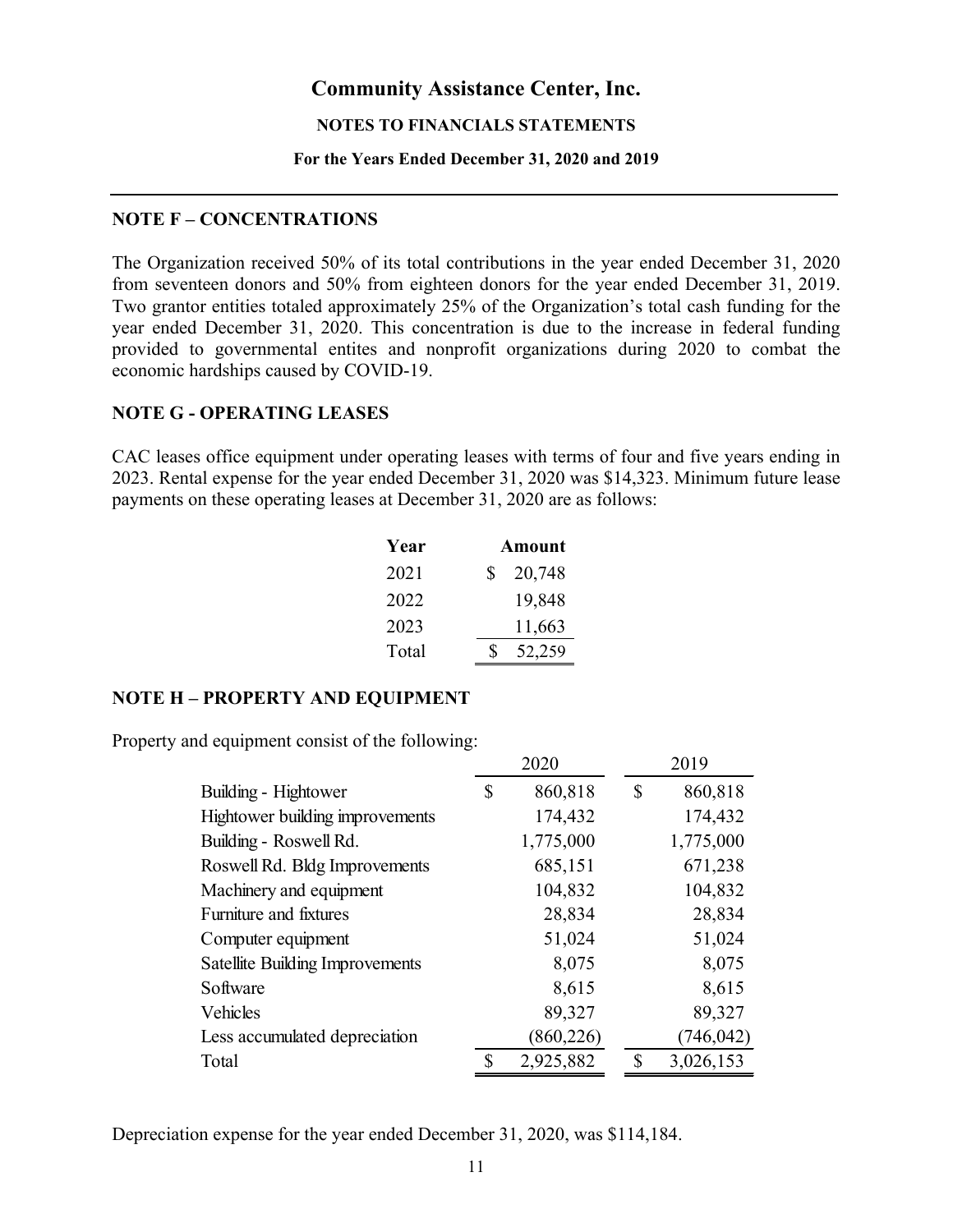#### **NOTES TO FINANCIALS STATEMENTS**

#### **For the Years Ended December 31, 2020 and 2019**

#### **NOTE F – CONCENTRATIONS**

The Organization received 50% of its total contributions in the year ended December 31, 2020 from seventeen donors and 50% from eighteen donors for the year ended December 31, 2019. Two grantor entities totaled approximately 25% of the Organization's total cash funding for the year ended December 31, 2020. This concentration is due to the increase in federal funding provided to governmental entites and nonprofit organizations during 2020 to combat the economic hardships caused by COVID-19.

#### **NOTE G - OPERATING LEASES**

CAC leases office equipment under operating leases with terms of four and five years ending in 2023. Rental expense for the year ended December 31, 2020 was \$14,323. Minimum future lease payments on these operating leases at December 31, 2020 are as follows:

| Year  | <b>Amount</b> |        |  |
|-------|---------------|--------|--|
| 2021  | S.            | 20,748 |  |
| 2022  |               | 19,848 |  |
| 2023  |               | 11,663 |  |
| Total |               | 52,259 |  |

## **NOTE H – PROPERTY AND EQUIPMENT**

Property and equipment consist of the following:

|                                 |   | 2020       | 2019            |
|---------------------------------|---|------------|-----------------|
| Building - Hightower            | S | 860,818    | \$<br>860,818   |
| Hightower building improvements |   | 174,432    | 174,432         |
| Building - Roswell Rd.          |   | 1,775,000  | 1,775,000       |
| Roswell Rd. Bldg Improvements   |   | 685,151    | 671,238         |
| Machinery and equipment         |   | 104,832    | 104,832         |
| Furniture and fixtures          |   | 28,834     | 28,834          |
| Computer equipment              |   | 51,024     | 51,024          |
| Satellite Building Improvements |   | 8,075      | 8,075           |
| Software                        |   | 8,615      | 8,615           |
| Vehicles                        |   | 89,327     | 89,327          |
| Less accumulated depreciation   |   | (860, 226) | (746, 042)      |
| Total                           |   | 2,925,882  | \$<br>3,026,153 |

Depreciation expense for the year ended December 31, 2020, was \$114,184.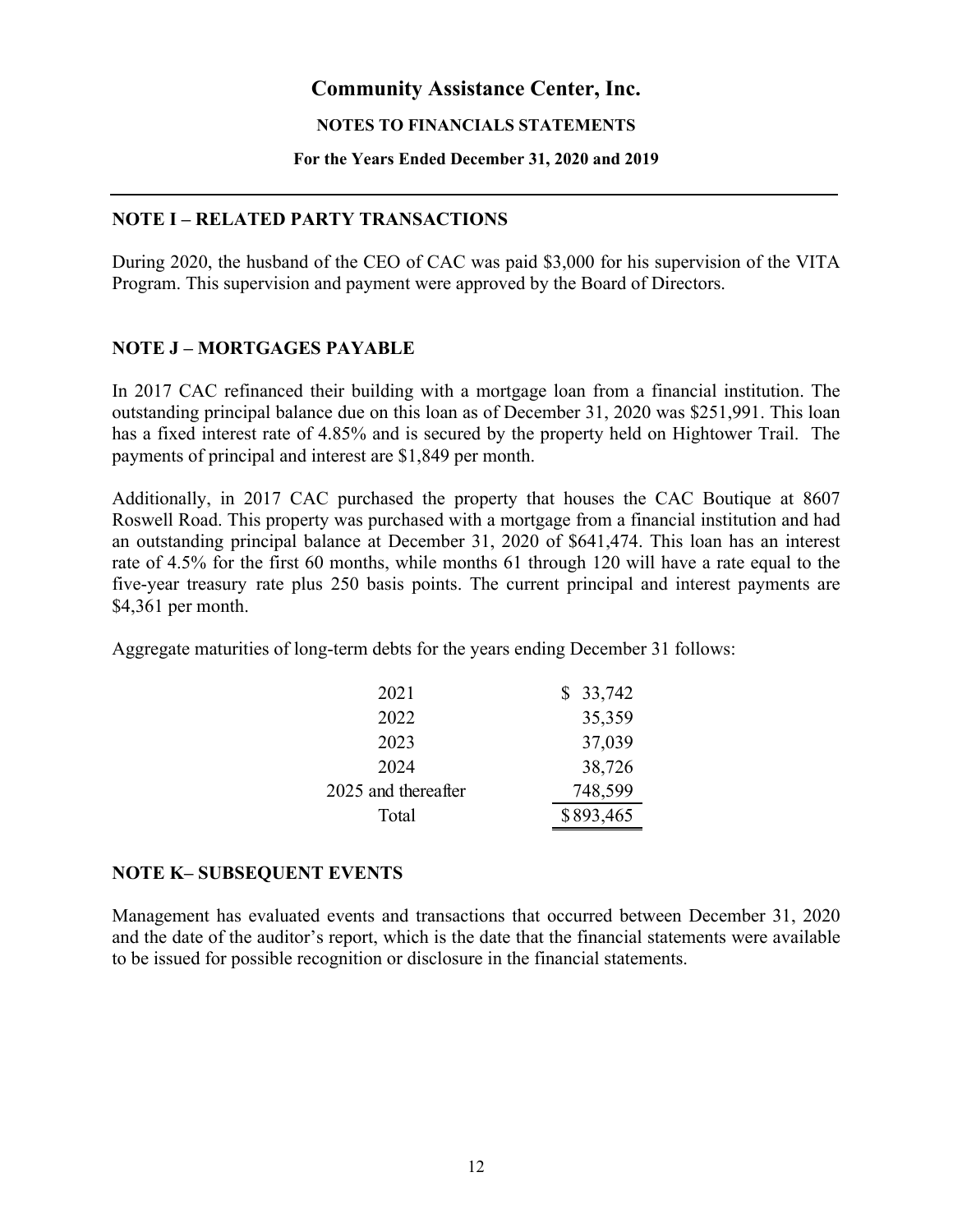#### **NOTES TO FINANCIALS STATEMENTS**

#### **For the Years Ended December 31, 2020 and 2019**

#### **NOTE I – RELATED PARTY TRANSACTIONS**

During 2020, the husband of the CEO of CAC was paid \$3,000 for his supervision of the VITA Program. This supervision and payment were approved by the Board of Directors.

#### **NOTE J – MORTGAGES PAYABLE**

In 2017 CAC refinanced their building with a mortgage loan from a financial institution. The outstanding principal balance due on this loan as of December 31, 2020 was \$251,991. This loan has a fixed interest rate of 4.85% and is secured by the property held on Hightower Trail. The payments of principal and interest are \$1,849 per month.

Additionally, in 2017 CAC purchased the property that houses the CAC Boutique at 8607 Roswell Road. This property was purchased with a mortgage from a financial institution and had an outstanding principal balance at December 31, 2020 of \$641,474. This loan has an interest rate of 4.5% for the first 60 months, while months 61 through 120 will have a rate equal to the five-year treasury rate plus 250 basis points. The current principal and interest payments are \$4,361 per month.

Aggregate maturities of long-term debts for the years ending December 31 follows:

| 2021                | \$33,742  |
|---------------------|-----------|
| 2022                | 35,359    |
| 2023                | 37,039    |
| 2024                | 38,726    |
| 2025 and thereafter | 748,599   |
| Total               | \$893,465 |

#### **NOTE K– SUBSEQUENT EVENTS**

Management has evaluated events and transactions that occurred between December 31, 2020 and the date of the auditor's report, which is the date that the financial statements were available to be issued for possible recognition or disclosure in the financial statements.